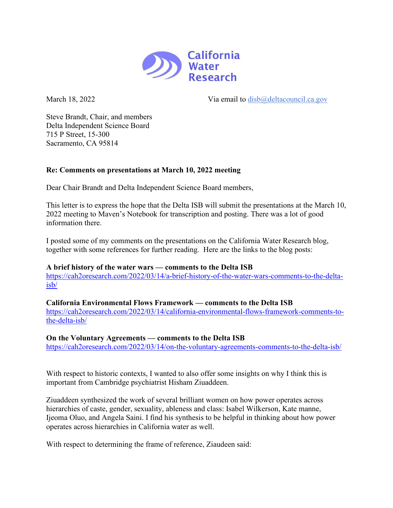

March 18, 2022 Via email to [disb@deltacouncil.ca.gov](mailto:disb@deltacouncil.ca.gov)

Steve Brandt, Chair, and members Delta Independent Science Board 715 P Street, 15-300 Sacramento, CA 95814

## **Re: Comments on presentations at March 10, 2022 meeting**

Dear Chair Brandt and Delta Independent Science Board members,

This letter is to express the hope that the Delta ISB will submit the presentations at the March 10, 2022 meeting to Maven's Notebook for transcription and posting. There was a lot of good information there.

I posted some of my comments on the presentations on the California Water Research blog, together with some references for further reading. Here are the links to the blog posts:

## **A brief history of the water wars — comments to the Delta ISB**

[https://cah2oresearch.com/2022/03/14/a-brief-history-of-the-water-wars-comments-to-the-delta](https://cah2oresearch.com/2022/03/14/a-brief-history-of-the-water-wars-comments-to-the-delta-isb/)[isb/](https://cah2oresearch.com/2022/03/14/a-brief-history-of-the-water-wars-comments-to-the-delta-isb/)

**California Environmental Flows Framework — comments to the Delta ISB** [https://cah2oresearch.com/2022/03/14/california-environmental-flows-framework-comments-to](https://cah2oresearch.com/2022/03/14/california-environmental-flows-framework-comments-to-the-delta-isb/)[the-delta-isb/](https://cah2oresearch.com/2022/03/14/california-environmental-flows-framework-comments-to-the-delta-isb/)

## **On the Voluntary Agreements — comments to the Delta ISB**

<https://cah2oresearch.com/2022/03/14/on-the-voluntary-agreements-comments-to-the-delta-isb/>

With respect to historic contexts, I wanted to also offer some insights on why I think this is important from Cambridge psychiatrist Hisham Ziuaddeen.

Ziuaddeen synthesized the work of several brilliant women on how power operates across hierarchies of caste, gender, sexuality, ableness and class: Isabel Wilkerson, Kate manne, Ijeoma Oluo, and Angela Saini. I find his synthesis to be helpful in thinking about how power operates across hierarchies in California water as well.

With respect to determining the frame of reference, Ziaudeen said: